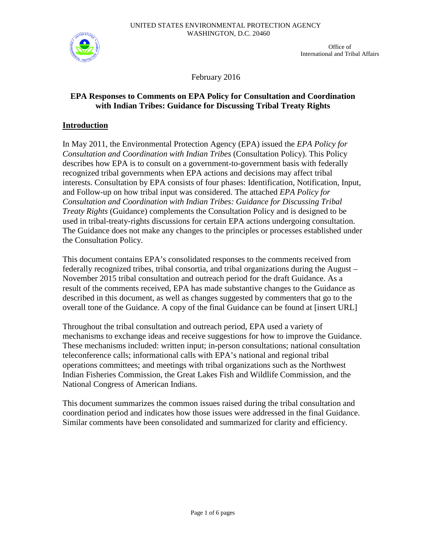

Office of International and Tribal Affairs

February 2016

## **EPA Responses to Comments on EPA Policy for Consultation and Coordination with Indian Tribes: Guidance for Discussing Tribal Treaty Rights**

## **Introduction**

In May 2011, the Environmental Protection Agency (EPA) issued the *EPA Policy for Consultation and Coordination with Indian Tribes* (Consultation Policy). This Policy describes how EPA is to consult on a government-to-government basis with federally recognized tribal governments when EPA actions and decisions may affect tribal interests. Consultation by EPA consists of four phases: Identification, Notification, Input, and Follow-up on how tribal input was considered. The attached *EPA Policy for Consultation and Coordination with Indian Tribes: Guidance for Discussing Tribal Treaty Rights* (Guidance) complements the Consultation Policy and is designed to be used in tribal-treaty-rights discussions for certain EPA actions undergoing consultation. The Guidance does not make any changes to the principles or processes established under the Consultation Policy.

This document contains EPA's consolidated responses to the comments received from federally recognized tribes, tribal consortia, and tribal organizations during the August – November 2015 tribal consultation and outreach period for the draft Guidance. As a result of the comments received, EPA has made substantive changes to the Guidance as described in this document, as well as changes suggested by commenters that go to the overall tone of the Guidance. A copy of the final Guidance can be found at [insert URL]

Throughout the tribal consultation and outreach period, EPA used a variety of mechanisms to exchange ideas and receive suggestions for how to improve the Guidance. These mechanisms included: written input; in-person consultations; national consultation teleconference calls; informational calls with EPA's national and regional tribal operations committees; and meetings with tribal organizations such as the Northwest Indian Fisheries Commission, the Great Lakes Fish and Wildlife Commission, and the National Congress of American Indians.

This document summarizes the common issues raised during the tribal consultation and coordination period and indicates how those issues were addressed in the final Guidance. Similar comments have been consolidated and summarized for clarity and efficiency.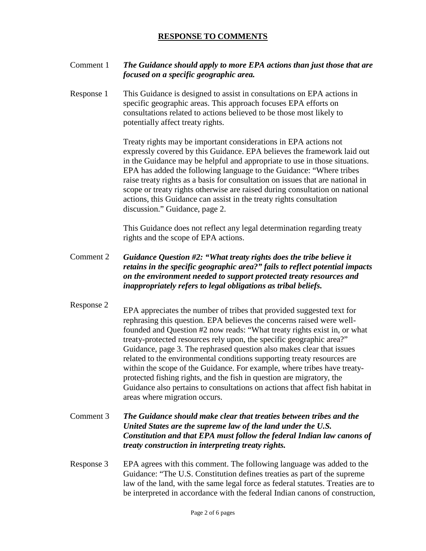## **RESPONSE TO COMMENTS**

### Comment 1 *The Guidance should apply to more EPA actions than just those that are focused on a specific geographic area.*

Response 1 This Guidance is designed to assist in consultations on EPA actions in specific geographic areas. This approach focuses EPA efforts on consultations related to actions believed to be those most likely to potentially affect treaty rights.

> Treaty rights may be important considerations in EPA actions not expressly covered by this Guidance. EPA believes the framework laid out in the Guidance may be helpful and appropriate to use in those situations. EPA has added the following language to the Guidance: "Where tribes raise treaty rights as a basis for consultation on issues that are national in scope or treaty rights otherwise are raised during consultation on national actions, this Guidance can assist in the treaty rights consultation discussion." Guidance, page 2.

This Guidance does not reflect any legal determination regarding treaty rights and the scope of EPA actions.

- Comment 2 *Guidance Question #2: "What treaty rights does the tribe believe it retains in the specific geographic area?" fails to reflect potential impacts on the environment needed to support protected treaty resources and inappropriately refers to legal obligations as tribal beliefs.*
- Response 2<br>EPA appreciates the number of tribes that provided suggested text for

rephrasing this question. EPA believes the concerns raised were wellfounded and Question #2 now reads: "What treaty rights exist in, or what treaty-protected resources rely upon, the specific geographic area?" Guidance, page 3. The rephrased question also makes clear that issues related to the environmental conditions supporting treaty resources are within the scope of the Guidance. For example, where tribes have treatyprotected fishing rights, and the fish in question are migratory, the Guidance also pertains to consultations on actions that affect fish habitat in areas where migration occurs.

### Comment 3 *The Guidance should make clear that treaties between tribes and the United States are the supreme law of the land under the U.S. Constitution and that EPA must follow the federal Indian law canons of treaty construction in interpreting treaty rights.*

Response 3 EPA agrees with this comment. The following language was added to the Guidance: "The U.S. Constitution defines treaties as part of the supreme law of the land, with the same legal force as federal statutes. Treaties are to be interpreted in accordance with the federal Indian canons of construction,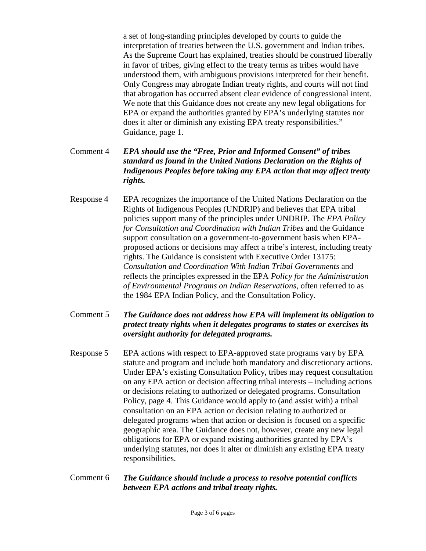a set of long-standing principles developed by courts to guide the interpretation of treaties between the U.S. government and Indian tribes. As the Supreme Court has explained, treaties should be construed liberally in favor of tribes, giving effect to the treaty terms as tribes would have understood them, with ambiguous provisions interpreted for their benefit. Only Congress may abrogate Indian treaty rights, and courts will not find that abrogation has occurred absent clear evidence of congressional intent. We note that this Guidance does not create any new legal obligations for EPA or expand the authorities granted by EPA's underlying statutes nor does it alter or diminish any existing EPA treaty responsibilities." Guidance, page 1.

## Comment 4 *EPA should use the "Free, Prior and Informed Consent" of tribes standard as found in the United Nations Declaration on the Rights of Indigenous Peoples before taking any EPA action that may affect treaty rights.*

Response 4 EPA recognizes the importance of the United Nations Declaration on the Rights of Indigenous Peoples (UNDRIP) and believes that EPA tribal policies support many of the principles under UNDRIP. The *EPA Policy for Consultation and Coordination with Indian Tribes* and the Guidance support consultation on a government-to-government basis when EPAproposed actions or decisions may affect a tribe's interest, including treaty rights. The Guidance is consistent with Executive Order 13175: *Consultation and Coordination With Indian Tribal Governments* and reflects the principles expressed in the EPA *Policy for the Administration of Environmental Programs on Indian Reservations*, often referred to as the 1984 EPA Indian Policy, and the Consultation Policy.

## Comment 5 *The Guidance does not address how EPA will implement its obligation to protect treaty rights when it delegates programs to states or exercises its oversight authority for delegated programs.*

- Response 5 EPA actions with respect to EPA-approved state programs vary by EPA statute and program and include both mandatory and discretionary actions. Under EPA's existing Consultation Policy, tribes may request consultation on any EPA action or decision affecting tribal interests – including actions or decisions relating to authorized or delegated programs. Consultation Policy, page 4. This Guidance would apply to (and assist with) a tribal consultation on an EPA action or decision relating to authorized or delegated programs when that action or decision is focused on a specific geographic area. The Guidance does not, however, create any new legal obligations for EPA or expand existing authorities granted by EPA's underlying statutes, nor does it alter or diminish any existing EPA treaty responsibilities.
- Comment 6 *The Guidance should include a process to resolve potential conflicts between EPA actions and tribal treaty rights.*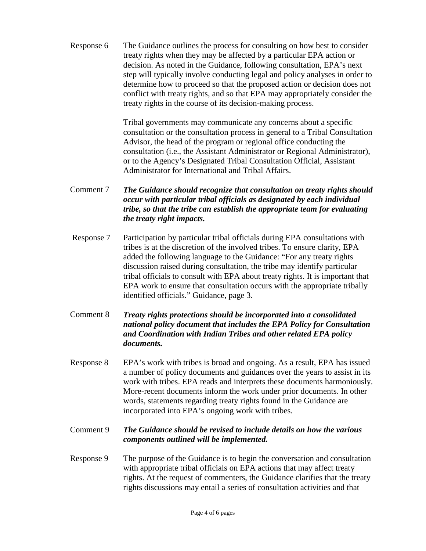Response 6 The Guidance outlines the process for consulting on how best to consider treaty rights when they may be affected by a particular EPA action or decision. As noted in the Guidance, following consultation, EPA's next step will typically involve conducting legal and policy analyses in order to determine how to proceed so that the proposed action or decision does not conflict with treaty rights, and so that EPA may appropriately consider the treaty rights in the course of its decision-making process.

> Tribal governments may communicate any concerns about a specific consultation or the consultation process in general to a Tribal Consultation Advisor, the head of the program or regional office conducting the consultation (i.e., the Assistant Administrator or Regional Administrator), or to the Agency's Designated Tribal Consultation Official, Assistant Administrator for International and Tribal Affairs.

- Comment 7 *The Guidance should recognize that consultation on treaty rights should occur with particular tribal officials as designated by each individual tribe, so that the tribe can establish the appropriate team for evaluating the treaty right impacts.*
- Response 7 Participation by particular tribal officials during EPA consultations with tribes is at the discretion of the involved tribes. To ensure clarity, EPA added the following language to the Guidance: "For any treaty rights discussion raised during consultation, the tribe may identify particular tribal officials to consult with EPA about treaty rights. It is important that EPA work to ensure that consultation occurs with the appropriate tribally identified officials." Guidance, page 3.
- Comment 8 *Treaty rights protections should be incorporated into a consolidated national policy document that includes the EPA Policy for Consultation and Coordination with Indian Tribes and other related EPA policy documents.*
- Response 8 EPA's work with tribes is broad and ongoing. As a result, EPA has issued a number of policy documents and guidances over the years to assist in its work with tribes. EPA reads and interprets these documents harmoniously. More-recent documents inform the work under prior documents. In other words, statements regarding treaty rights found in the Guidance are incorporated into EPA's ongoing work with tribes.
- Comment 9 *The Guidance should be revised to include details on how the various components outlined will be implemented.*
- Response 9 The purpose of the Guidance is to begin the conversation and consultation with appropriate tribal officials on EPA actions that may affect treaty rights. At the request of commenters, the Guidance clarifies that the treaty rights discussions may entail a series of consultation activities and that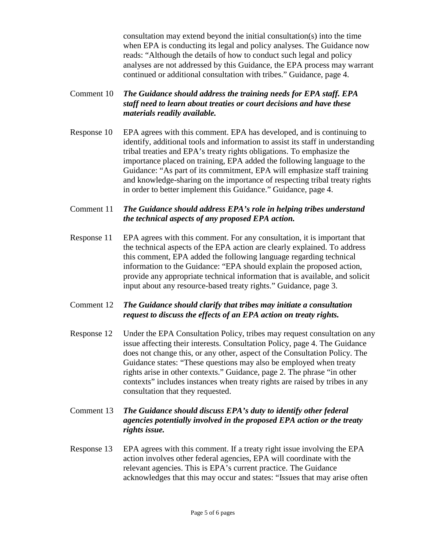consultation may extend beyond the initial consultation(s) into the time when EPA is conducting its legal and policy analyses. The Guidance now reads: "Although the details of how to conduct such legal and policy analyses are not addressed by this Guidance, the EPA process may warrant continued or additional consultation with tribes." Guidance, page 4.

# Comment 10 *The Guidance should address the training needs for EPA staff. EPA staff need to learn about treaties or court decisions and have these materials readily available.*

Response 10 EPA agrees with this comment. EPA has developed, and is continuing to identify, additional tools and information to assist its staff in understanding tribal treaties and EPA's treaty rights obligations. To emphasize the importance placed on training, EPA added the following language to the Guidance: "As part of its commitment, EPA will emphasize staff training and knowledge-sharing on the importance of respecting tribal treaty rights in order to better implement this Guidance." Guidance, page 4.

## Comment 11 *The Guidance should address EPA's role in helping tribes understand the technical aspects of any proposed EPA action.*

Response 11 EPA agrees with this comment. For any consultation, it is important that the technical aspects of the EPA action are clearly explained. To address this comment, EPA added the following language regarding technical information to the Guidance: "EPA should explain the proposed action, provide any appropriate technical information that is available, and solicit input about any resource-based treaty rights." Guidance, page 3.

## Comment 12 *The Guidance should clarify that tribes may initiate a consultation request to discuss the effects of an EPA action on treaty rights.*

Response 12 Under the EPA Consultation Policy, tribes may request consultation on any issue affecting their interests. Consultation Policy, page 4. The Guidance does not change this, or any other, aspect of the Consultation Policy. The Guidance states: "These questions may also be employed when treaty rights arise in other contexts." Guidance, page 2. The phrase "in other contexts" includes instances when treaty rights are raised by tribes in any consultation that they requested.

# Comment 13 *The Guidance should discuss EPA's duty to identify other federal agencies potentially involved in the proposed EPA action or the treaty rights issue.*

Response 13 EPA agrees with this comment. If a treaty right issue involving the EPA action involves other federal agencies, EPA will coordinate with the relevant agencies. This is EPA's current practice. The Guidance acknowledges that this may occur and states: "Issues that may arise often